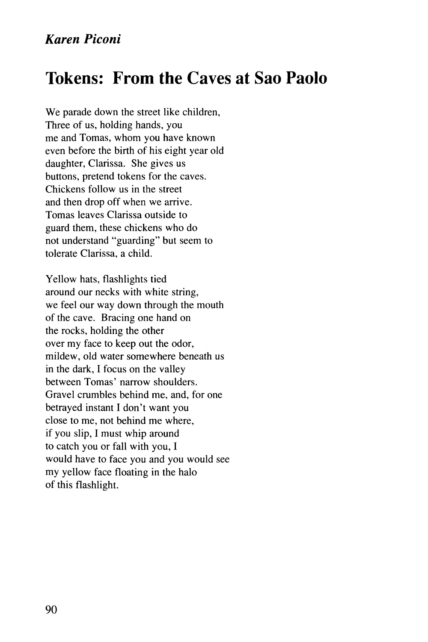## **Tokens: From the Caves at Sao Paolo**

We parade down the street like children, Three of us, holding hands, you me and Tomas, whom you have known even before the birth of his eight year old daughter, Clarissa. She gives us buttons, pretend tokens for the caves. Chickens follow us in the street and then drop off when we arrive. Tomas leaves Clarissa outside to guard them, these chickens who do not understand "guarding" but seem to tolerate Clarissa, a child.

Yellow hats, flashlights tied around our necks with white string, we feel our way down through the mouth of the cave. Bracing one hand on the rocks, holding the other over my face to keep out the odor, mildew, old water somewhere beneath us in the dark, I focus on the valley between Tomas' narrow shoulders. Gravel crumbles behind me, and, for one betrayed instant I don't want you close to me, not behind me where, if you slip, I must whip around to catch you or fall with you, I would have to face you and you would see my yellow face floating in the halo of this flashlight.